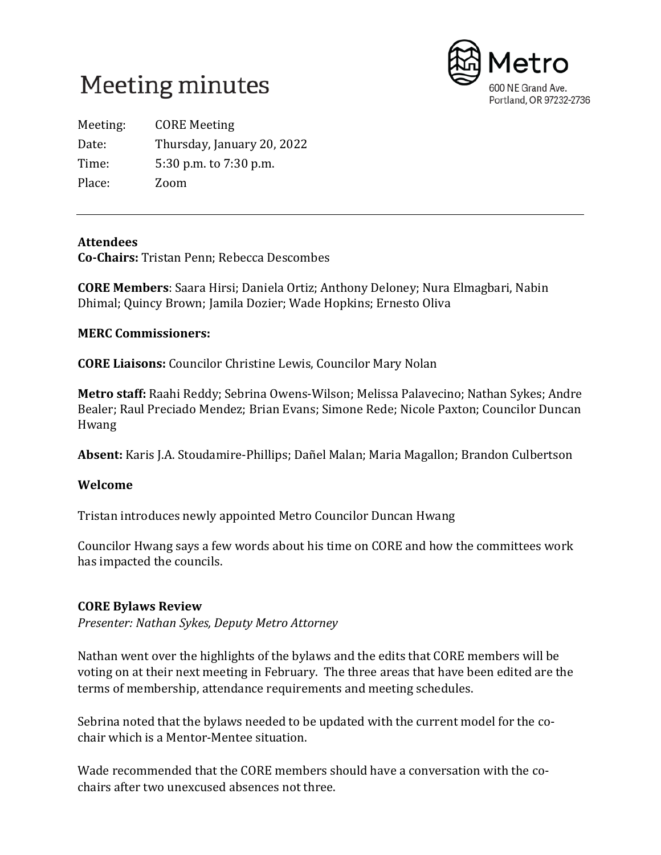



Meeting: CORE Meeting Date: Thursday, January 20, 2022 Time: 5:30 p.m. to 7:30 p.m. Place: Zoom

#### **Attendees**

**Co-Chairs:** Tristan Penn; Rebecca Descombes

**CORE Members**: Saara Hirsi; Daniela Ortiz; Anthony Deloney; Nura Elmagbari, Nabin Dhimal; Quincy Brown; Jamila Dozier; Wade Hopkins; Ernesto Oliva

## **MERC Commissioners:**

**CORE Liaisons:** Councilor Christine Lewis, Councilor Mary Nolan

**Metro staff:** Raahi Reddy; Sebrina Owens-Wilson; Melissa Palavecino; Nathan Sykes; Andre Bealer; Raul Preciado Mendez; Brian Evans; Simone Rede; Nicole Paxton; Councilor Duncan Hwang

**Absent:** Karis J.A. Stoudamire-Phillips; Dañel Malan; Maria Magallon; Brandon Culbertson

# **Welcome**

Tristan introduces newly appointed Metro Councilor Duncan Hwang

Councilor Hwang says a few words about his time on CORE and how the committees work has impacted the councils.

#### **CORE Bylaws Review**

*Presenter: Nathan Sykes, Deputy Metro Attorney*

Nathan went over the highlights of the bylaws and the edits that CORE members will be voting on at their next meeting in February. The three areas that have been edited are the terms of membership, attendance requirements and meeting schedules.

Sebrina noted that the bylaws needed to be updated with the current model for the cochair which is a Mentor-Mentee situation.

Wade recommended that the CORE members should have a conversation with the cochairs after two unexcused absences not three.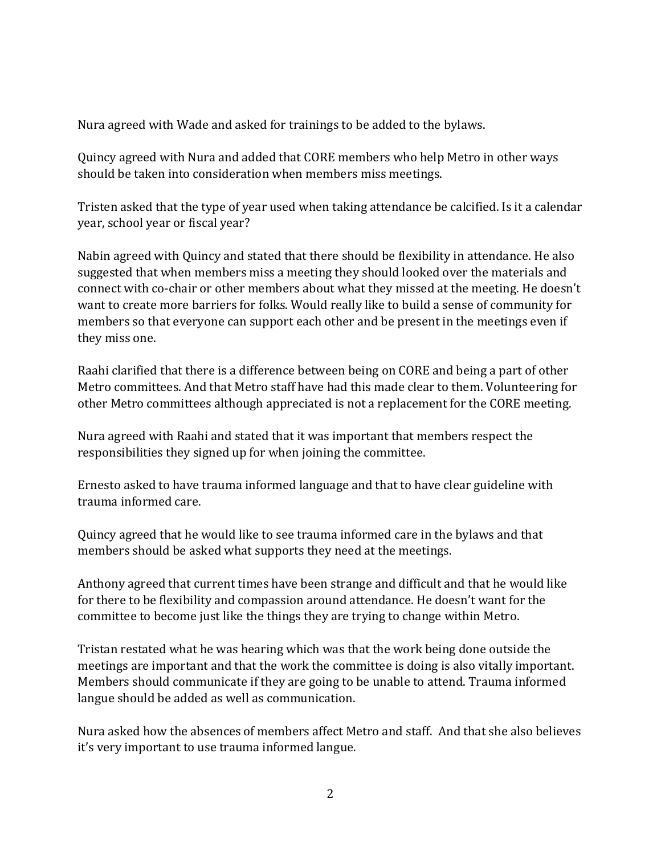Nura agreed with Wade and asked for trainings to be added to the bylaws.

Quincy agreed with Nura and added that CORE members who help Metro in other ways should be taken into consideration when members miss meetings.

Tristen asked that the type of year used when taking attendance be calcified. Is it a calendar year, school year or fiscal year?

Nabin agreed with Quincy and stated that there should be flexibility in attendance. He also suggested that when members miss a meeting they should looked over the materials and connect with co-chair or other members about what they missed at the meeting. He doesn't want to create more barriers for folks. Would really like to build a sense of community for members so that everyone can support each other and be present in the meetings even if they miss one.

Raahi clarified that there is a difference between being on CORE and being a part of other Metro committees. And that Metro staff have had this made clear to them. Volunteering for other Metro committees although appreciated is not a replacement for the CORE meeting.

Nura agreed with Raahi and stated that it was important that members respect the responsibilities they signed up for when joining the committee.

Ernesto asked to have trauma informed language and that to have clear guideline with trauma informed care.

Quincy agreed that he would like to see trauma informed care in the bylaws and that members should be asked what supports they need at the meetings.

Anthony agreed that current times have been strange and difficult and that he would like for there to be flexibility and compassion around attendance. He doesn't want for the committee to become just like the things they are trying to change within Metro.

Tristan restated what he was hearing which was that the work being done outside the meetings are important and that the work the committee is doing is also vitally important. Members should communicate if they are going to be unable to attend. Trauma informed langue should be added as well as communication.

Nura asked how the absences of members affect Metro and staff. And that she also believes it's very important to use trauma informed langue.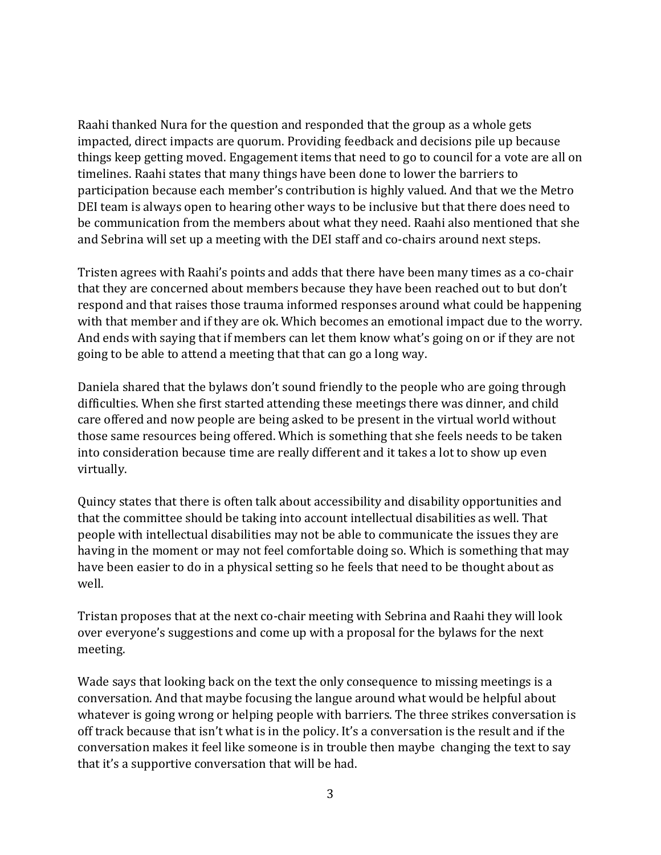Raahi thanked Nura for the question and responded that the group as a whole gets impacted, direct impacts are quorum. Providing feedback and decisions pile up because things keep getting moved. Engagement items that need to go to council for a vote are all on timelines. Raahi states that many things have been done to lower the barriers to participation because each member's contribution is highly valued. And that we the Metro DEI team is always open to hearing other ways to be inclusive but that there does need to be communication from the members about what they need. Raahi also mentioned that she and Sebrina will set up a meeting with the DEI staff and co-chairs around next steps.

Tristen agrees with Raahi's points and adds that there have been many times as a co-chair that they are concerned about members because they have been reached out to but don't respond and that raises those trauma informed responses around what could be happening with that member and if they are ok. Which becomes an emotional impact due to the worry. And ends with saying that if members can let them know what's going on or if they are not going to be able to attend a meeting that that can go a long way.

Daniela shared that the bylaws don't sound friendly to the people who are going through difficulties. When she first started attending these meetings there was dinner, and child care offered and now people are being asked to be present in the virtual world without those same resources being offered. Which is something that she feels needs to be taken into consideration because time are really different and it takes a lot to show up even virtually.

Quincy states that there is often talk about accessibility and disability opportunities and that the committee should be taking into account intellectual disabilities as well. That people with intellectual disabilities may not be able to communicate the issues they are having in the moment or may not feel comfortable doing so. Which is something that may have been easier to do in a physical setting so he feels that need to be thought about as well.

Tristan proposes that at the next co-chair meeting with Sebrina and Raahi they will look over everyone's suggestions and come up with a proposal for the bylaws for the next meeting.

Wade says that looking back on the text the only consequence to missing meetings is a conversation. And that maybe focusing the langue around what would be helpful about whatever is going wrong or helping people with barriers. The three strikes conversation is off track because that isn't what is in the policy. It's a conversation is the result and if the conversation makes it feel like someone is in trouble then maybe changing the text to say that it's a supportive conversation that will be had.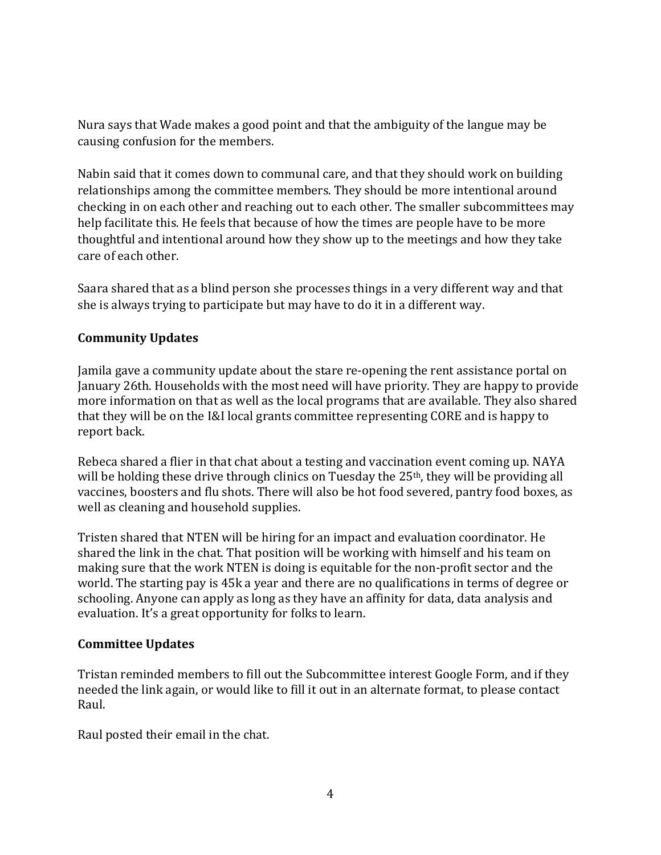Nura says that Wade makes a good point and that the ambiguity of the langue may be causing confusion for the members.

Nabin said that it comes down to communal care, and that they should work on building relationships among the committee members. They should be more intentional around checking in on each other and reaching out to each other. The smaller subcommittees may help facilitate this. He feels that because of how the times are people have to be more thoughtful and intentional around how they show up to the meetings and how they take care of each other.

Saara shared that as a blind person she processes things in a very different way and that she is always trying to participate but may have to do it in a different way.

## **Community Updates**

Jamila gave a community update about the stare re-opening the rent assistance portal on January 26th. Households with the most need will have priority. They are happy to provide more information on that as well as the local programs that are available. They also shared that they will be on the I&I local grants committee representing CORE and is happy to report back.

Rebeca shared a flier in that chat about a testing and vaccination event coming up. NAYA will be holding these drive through clinics on Tuesday the 25<sup>th</sup>, they will be providing all vaccines, boosters and flu shots. There will also be hot food severed, pantry food boxes, as well as cleaning and household supplies.

Tristen shared that NTEN will be hiring for an impact and evaluation coordinator. He shared the link in the chat. That position will be working with himself and his team on making sure that the work NTEN is doing is equitable for the non-profit sector and the world. The starting pay is 45k a year and there are no qualifications in terms of degree or schooling. Anyone can apply as long as they have an affinity for data, data analysis and evaluation. It's a great opportunity for folks to learn.

#### **Committee Updates**

Tristan reminded members to fill out the Subcommittee interest Google Form, and if they needed the link again, or would like to fill it out in an alternate format, to please contact Raul.

Raul posted their email in the chat.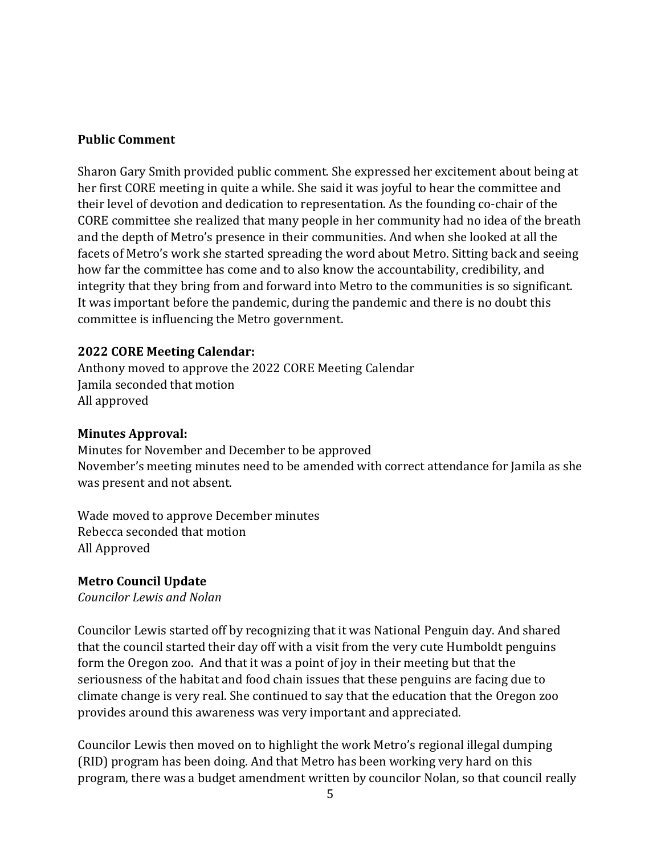#### **Public Comment**

Sharon Gary Smith provided public comment. She expressed her excitement about being at her first CORE meeting in quite a while. She said it was joyful to hear the committee and their level of devotion and dedication to representation. As the founding co-chair of the CORE committee she realized that many people in her community had no idea of the breath and the depth of Metro's presence in their communities. And when she looked at all the facets of Metro's work she started spreading the word about Metro. Sitting back and seeing how far the committee has come and to also know the accountability, credibility, and integrity that they bring from and forward into Metro to the communities is so significant. It was important before the pandemic, during the pandemic and there is no doubt this committee is influencing the Metro government.

#### **2022 CORE Meeting Calendar:**

Anthony moved to approve the 2022 CORE Meeting Calendar Jamila seconded that motion All approved

#### **Minutes Approval:**

Minutes for November and December to be approved November's meeting minutes need to be amended with correct attendance for Jamila as she was present and not absent.

Wade moved to approve December minutes Rebecca seconded that motion All Approved

#### **Metro Council Update**

*Councilor Lewis and Nolan*

Councilor Lewis started off by recognizing that it was National Penguin day. And shared that the council started their day off with a visit from the very cute Humboldt penguins form the Oregon zoo. And that it was a point of joy in their meeting but that the seriousness of the habitat and food chain issues that these penguins are facing due to climate change is very real. She continued to say that the education that the Oregon zoo provides around this awareness was very important and appreciated.

Councilor Lewis then moved on to highlight the work Metro's regional illegal dumping (RID) program has been doing. And that Metro has been working very hard on this program, there was a budget amendment written by councilor Nolan, so that council really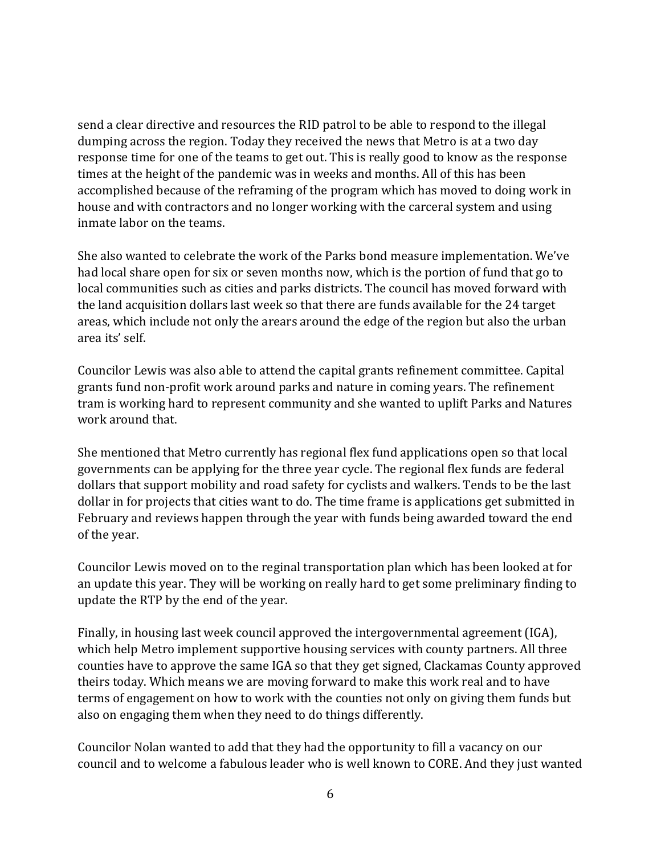send a clear directive and resources the RID patrol to be able to respond to the illegal dumping across the region. Today they received the news that Metro is at a two day response time for one of the teams to get out. This is really good to know as the response times at the height of the pandemic was in weeks and months. All of this has been accomplished because of the reframing of the program which has moved to doing work in house and with contractors and no longer working with the carceral system and using inmate labor on the teams.

She also wanted to celebrate the work of the Parks bond measure implementation. We've had local share open for six or seven months now, which is the portion of fund that go to local communities such as cities and parks districts. The council has moved forward with the land acquisition dollars last week so that there are funds available for the 24 target areas, which include not only the arears around the edge of the region but also the urban area its' self.

Councilor Lewis was also able to attend the capital grants refinement committee. Capital grants fund non-profit work around parks and nature in coming years. The refinement tram is working hard to represent community and she wanted to uplift Parks and Natures work around that.

She mentioned that Metro currently has regional flex fund applications open so that local governments can be applying for the three year cycle. The regional flex funds are federal dollars that support mobility and road safety for cyclists and walkers. Tends to be the last dollar in for projects that cities want to do. The time frame is applications get submitted in February and reviews happen through the year with funds being awarded toward the end of the year.

Councilor Lewis moved on to the reginal transportation plan which has been looked at for an update this year. They will be working on really hard to get some preliminary finding to update the RTP by the end of the year.

Finally, in housing last week council approved the intergovernmental agreement (IGA), which help Metro implement supportive housing services with county partners. All three counties have to approve the same IGA so that they get signed, Clackamas County approved theirs today. Which means we are moving forward to make this work real and to have terms of engagement on how to work with the counties not only on giving them funds but also on engaging them when they need to do things differently.

Councilor Nolan wanted to add that they had the opportunity to fill a vacancy on our council and to welcome a fabulous leader who is well known to CORE. And they just wanted